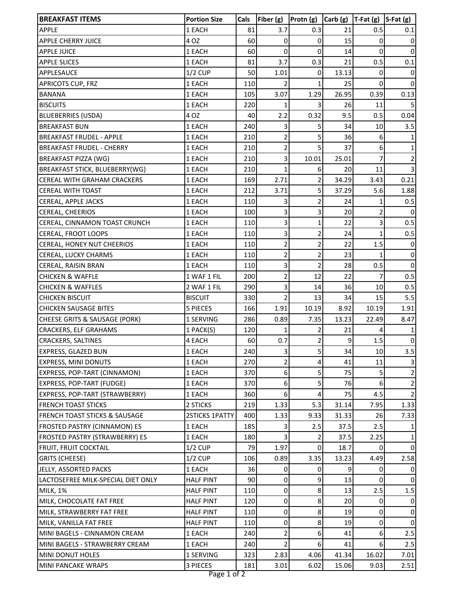| <b>BREAKFAST ITEMS</b>                   | <b>Portion Size</b> | Cals | Fiber (g)               | Protn (g)               | Carb(g) | $T-Fat(g)$ | $S-Fat(g)$   |
|------------------------------------------|---------------------|------|-------------------------|-------------------------|---------|------------|--------------|
| APPLE                                    | 1 EACH              | 81   | 3.7                     | 0.3                     | 21      | 0.5        | 0.1          |
| <b>APPLE CHERRY JUICE</b>                | 4 OZ                | 60   | 0                       | 0                       | 15      | 0          | 0            |
| <b>APPLE JUICE</b>                       | 1 EACH              | 60   | 0                       | 0                       | 14      | 0          | 0            |
| <b>APPLE SLICES</b>                      | 1 EACH              | 81   | 3.7                     | 0.3                     | 21      | 0.5        | 0.1          |
| APPLESAUCE                               | $1/2$ CUP           | 50   | 1.01                    | 0                       | 13.13   | 0          | $\mathbf 0$  |
| <b>APRICOTS CUP, FRZ</b>                 | 1 EACH              | 110  | 2                       | 1                       | 25      | $\Omega$   | 0            |
| <b>BANANA</b>                            | 1 EACH              | 105  | 3.07                    | 1.29                    | 26.95   | 0.39       | 0.13         |
| <b>BISCUITS</b>                          | 1 EACH              | 220  | 1                       | 3                       | 26      | 11         | 5            |
| <b>BLUEBERRIES (USDA)</b>                | 4 OZ                | 40   | 2.2                     | 0.32                    | 9.5     | 0.5        | 0.04         |
| <b>BREAKFAST BUN</b>                     | 1 EACH              | 240  | 3                       | 5                       | 34      | 10         | 3.5          |
| <b>BREAKFAST FRUDEL - APPLE</b>          | 1 EACH              | 210  | 2                       | 5                       | 36      | 6          | 1            |
| <b>BREAKFAST FRUDEL - CHERRY</b>         | 1 EACH              | 210  | $\overline{\mathbf{c}}$ | 5                       | 37      | 6          | 1            |
| <b>BREAKFAST PIZZA (WG)</b>              | 1 EACH              | 210  | 3                       | 10.01                   | 25.01   | 7          | 2            |
| BREAKFAST STICK, BLUEBERRY(WG)           | 1 EACH              | 210  |                         | 6                       | 20      | 11         | 3            |
| CEREAL WITH GRAHAM CRACKERS              | 1 EACH              | 169  | 2.71                    | 2                       | 34.29   | 3.43       | 0.21         |
| <b>CEREAL WITH TOAST</b>                 | 1 EACH              | 212  | 3.71                    | 5                       | 37.29   | 5.6        | 1.88         |
| CEREAL, APPLE JACKS                      | 1 EACH              | 110  | 3                       | 2                       | 24      | 1          | 0.5          |
| CEREAL, CHEERIOS                         | 1 EACH              | 100  | 3                       | 3                       | 20      | 2          | $\mathbf 0$  |
| CEREAL, CINNAMON TOAST CRUNCH            | 1 EACH              | 110  | 3                       | 1                       | 22      | 3          | 0.5          |
| CEREAL, FROOT LOOPS                      | 1 EACH              | 110  | 3                       | $\overline{\mathbf{c}}$ | 24      | 1          | 0.5          |
| CEREAL, HONEY NUT CHEERIOS               | 1 EACH              | 110  | $\overline{\mathbf{c}}$ | $\overline{\mathbf{c}}$ | 22      | 1.5        | 0            |
| CEREAL, LUCKY CHARMS                     | 1 EACH              | 110  | $\overline{2}$          | 2                       | 23      |            | $\mathbf 0$  |
| CEREAL, RAISIN BRAN                      | 1 EACH              | 110  | 3                       | $\overline{c}$          | 28      | 0.5        | $\mathbf 0$  |
| <b>CHICKEN &amp; WAFFLE</b>              | 1 WAF 1 FIL         | 200  | $\overline{c}$          | 12                      | 22      |            | 0.5          |
| <b>CHICKEN &amp; WAFFLES</b>             | 2 WAF 1 FIL         | 290  | 3                       | 14                      | 36      | 10         | 0.5          |
| <b>CHICKEN BISCUIT</b>                   | <b>BISCUIT</b>      | 330  | $\overline{2}$          | 13                      | 34      | 15         | 5.5          |
| <b>CHICKEN SAUSAGE BITES</b>             | <b>5 PIECES</b>     | 166  | 1.91                    | 10.19                   | 8.92    | 10.19      | 1.91         |
| CHEESE GRITS & SAUSAGE (PORK)            | 1 SERVING           | 286  | 0.89                    | 7.35                    | 13.23   | 22.49      | 8.47         |
| <b>CRACKERS, ELF GRAHAMS</b>             | 1 PACK(S)           | 120  |                         |                         | 21      |            |              |
| <b>CRACKERS, SALTINES</b>                | 4 EACH              | 60   | 0.7                     | 2                       | 9       | 1.5        | $\pmb{0}$    |
| EXPRESS, GLAZED BUN                      | 1 EACH              | 240  | 3                       | 5                       | 34      | 10         | 3.5          |
| EXPRESS, MINI DONUTS                     | 1 EACH              | 270  | 2                       |                         | 41      | 11         |              |
| EXPRESS, POP-TART (CINNAMON)             | 1 EACH              | 370  | 6                       | 5                       | 75      | 5          | 2            |
| EXPRESS, POP-TART (FUDGE)                | 1 EACH              | 370  | 6                       | 5                       | 76      | 6          | 2            |
| EXPRESS, POP-TART (STRAWBERRY)           | 1 EACH              | 360  | 6                       | 4                       | 75      | 4.5        | 2            |
| <b>FRENCH TOAST STICKS</b>               | 2 STICKS            | 219  | 1.33                    | 5.3                     | 31.14   | 7.95       | 1.33         |
| <b>FRENCH TOAST STICKS &amp; SAUSAGE</b> | 2STICKS 1PATTY      | 400  | 1.33                    | 9.33                    | 31.33   | 26         | 7.33         |
| <b>FROSTED PASTRY (CINNAMON) ES</b>      | 1 EACH              | 185  |                         | 2.5                     | 37.5    | 2.5        |              |
| FROSTED PASTRY (STRAWBERRY) ES           | 1 EACH              | 180  | 3                       |                         | 37.5    | 2.25       | 1            |
| FRUIT, FRUIT COCKTAIL                    | $1/2$ CUP           | 79   | 1.97                    | 0                       | 18.7    | 0          | $\mathbf{0}$ |
| <b>GRITS (CHEESE)</b>                    | $1/2$ CUP           | 106  | 0.89                    | 3.35                    | 13.23   | 4.49       | 2.58         |
| JELLY, ASSORTED PACKS                    | 1 EACH              | 36   | 0                       | 0                       |         | 0          | 0            |
| LACTOSEFREE MILK-SPECIAL DIET ONLY       | <b>HALF PINT</b>    | 90   | 0                       | 9                       | 13      | 0          | 0            |
| <b>MILK, 1%</b>                          | <b>HALF PINT</b>    | 110  | 0                       | 8                       | 13      | 2.5        | 1.5          |
| MILK, CHOCOLATE FAT FREE                 | <b>HALF PINT</b>    | 120  | 0                       | 8                       | 20      | 0          | 0            |
| MILK, STRAWBERRY FAT FREE                | <b>HALF PINT</b>    | 110  | 0                       | 8                       | 19      | 0          | 0            |
| MILK, VANILLA FAT FREE                   | <b>HALF PINT</b>    | 110  | 0                       | 8                       | 19      | 0          | 0            |
| MINI BAGELS - CINNAMON CREAM             | 1 EACH              | 240  | 2                       | 6                       | 41      | 6          | 2.5          |
| MINI BAGELS - STRAWBERRY CREAM           | 1 EACH              | 240  | $\overline{2}$          | 6                       | 41      | 6          | 2.5          |
| MINI DONUT HOLES                         | 1 SERVING           | 323  | 2.83                    | 4.06                    | 41.34   | 16.02      | 7.01         |
| MINI PANCAKE WRAPS                       | 3 PIECES            | 181  | 3.01                    | 6.02                    | 15.06   | 9.03       | 2.51         |